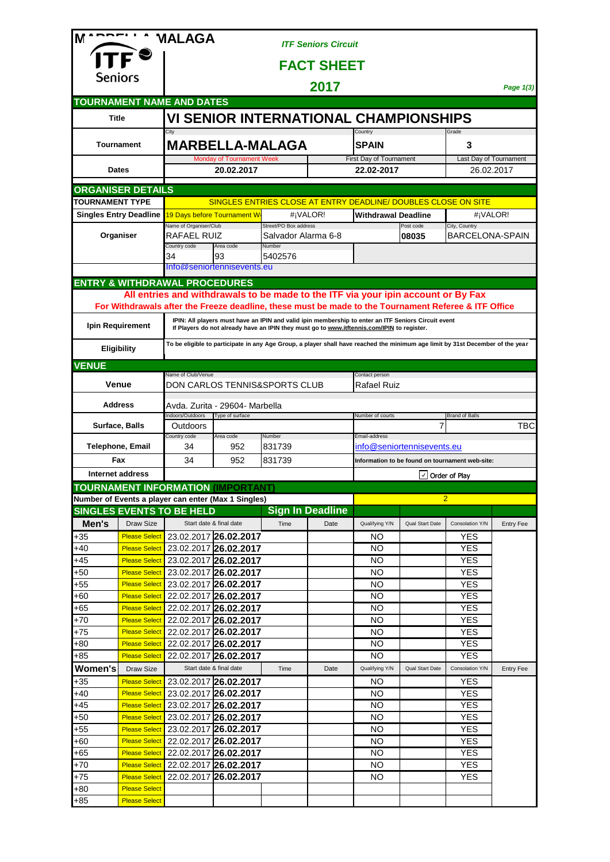| M                                 |                                                                                                                                                                                                                                                                                                                               | <b>MALAGA</b>                                                                     |                            |                               | <b>ITF Seniors Circuit</b> |                                                                                                                                |                            |                                                 |                  |  |
|-----------------------------------|-------------------------------------------------------------------------------------------------------------------------------------------------------------------------------------------------------------------------------------------------------------------------------------------------------------------------------|-----------------------------------------------------------------------------------|----------------------------|-------------------------------|----------------------------|--------------------------------------------------------------------------------------------------------------------------------|----------------------------|-------------------------------------------------|------------------|--|
|                                   |                                                                                                                                                                                                                                                                                                                               |                                                                                   |                            |                               |                            |                                                                                                                                |                            |                                                 |                  |  |
| Seniors                           |                                                                                                                                                                                                                                                                                                                               | <b>FACT SHEET</b>                                                                 |                            |                               |                            |                                                                                                                                |                            |                                                 |                  |  |
|                                   |                                                                                                                                                                                                                                                                                                                               |                                                                                   |                            | Page 1(3)                     |                            |                                                                                                                                |                            |                                                 |                  |  |
|                                   |                                                                                                                                                                                                                                                                                                                               | <b>TOURNAMENT NAME AND DATES</b>                                                  |                            |                               |                            |                                                                                                                                |                            |                                                 |                  |  |
|                                   | <b>Title</b>                                                                                                                                                                                                                                                                                                                  |                                                                                   |                            |                               |                            | VI SENIOR INTERNATIONAL CHAMPIONSHIPS                                                                                          |                            |                                                 |                  |  |
| <b>Tournament</b><br><b>Dates</b> |                                                                                                                                                                                                                                                                                                                               | City<br><b>MARBELLA-MALAGA</b><br><b>Monday of Tournament Week</b><br>20.02.2017  |                            |                               |                            | Country                                                                                                                        |                            | Grade                                           |                  |  |
|                                   |                                                                                                                                                                                                                                                                                                                               |                                                                                   |                            |                               |                            | <b>SPAIN</b>                                                                                                                   |                            | 3                                               |                  |  |
|                                   |                                                                                                                                                                                                                                                                                                                               |                                                                                   |                            |                               |                            | First Day of Tournament<br>22.02-2017                                                                                          |                            | Last Day of Tournament<br>26.02.2017            |                  |  |
|                                   |                                                                                                                                                                                                                                                                                                                               |                                                                                   |                            |                               |                            |                                                                                                                                |                            |                                                 |                  |  |
| <b>TOURNAMENT TYPE</b>            | <b>ORGANISER DETAILS</b>                                                                                                                                                                                                                                                                                                      |                                                                                   |                            |                               |                            | SINGLES ENTRIES CLOSE AT ENTRY DEADLINE/ DOUBLES CLOSE ON SITE                                                                 |                            |                                                 |                  |  |
|                                   | <b>Singles Entry Deadline</b>                                                                                                                                                                                                                                                                                                 | 19 Days before Tournament W<br>#¡VALOR!                                           |                            |                               | <b>Withdrawal Deadline</b> |                                                                                                                                | #¡VALOR!                   |                                                 |                  |  |
|                                   |                                                                                                                                                                                                                                                                                                                               | Name of Organiser/Club                                                            |                            | Street/PO Box address         |                            |                                                                                                                                | Post code                  | City, Country                                   |                  |  |
|                                   | Organiser                                                                                                                                                                                                                                                                                                                     | RAFAEL RUIZ<br>Country code                                                       | Area code                  | Salvador Alarma 6-8<br>Number |                            |                                                                                                                                | 08035                      | <b>BARCELONA-SPAIN</b>                          |                  |  |
|                                   |                                                                                                                                                                                                                                                                                                                               | 34                                                                                | 93                         | 5402576                       |                            |                                                                                                                                |                            |                                                 |                  |  |
|                                   |                                                                                                                                                                                                                                                                                                                               |                                                                                   | Info@seniortennisevents.eu |                               |                            |                                                                                                                                |                            |                                                 |                  |  |
|                                   |                                                                                                                                                                                                                                                                                                                               | <b>ENTRY &amp; WITHDRAWAL PROCEDURES</b>                                          |                            |                               |                            |                                                                                                                                |                            |                                                 |                  |  |
|                                   |                                                                                                                                                                                                                                                                                                                               | All entries and withdrawals to be made to the ITF via your ipin account or By Fax |                            |                               |                            |                                                                                                                                |                            |                                                 |                  |  |
|                                   | For Withdrawals after the Freeze deadline, these must be made to the Tournament Referee & ITF Office<br>IPIN: All players must have an IPIN and valid ipin membership to enter an ITF Seniors Circuit event<br>Ipin Requirement<br>If Players do not already have an IPIN they must go to www.itftennis.com/IPIN to register. |                                                                                   |                            |                               |                            |                                                                                                                                |                            |                                                 |                  |  |
|                                   | <b>Eligibility</b>                                                                                                                                                                                                                                                                                                            |                                                                                   |                            |                               |                            | To be eligible to participate in any Age Group, a player shall have reached the minimum age limit by 31st December of the year |                            |                                                 |                  |  |
|                                   |                                                                                                                                                                                                                                                                                                                               |                                                                                   |                            |                               |                            |                                                                                                                                |                            |                                                 |                  |  |
| <b>VENUE</b>                      |                                                                                                                                                                                                                                                                                                                               | Name of Club/Venue<br>Contact person                                              |                            |                               |                            |                                                                                                                                |                            |                                                 |                  |  |
|                                   | Venue                                                                                                                                                                                                                                                                                                                         | DON CARLOS TENNIS&SPORTS CLUB<br>Rafael Ruiz                                      |                            |                               |                            |                                                                                                                                |                            |                                                 |                  |  |
|                                   | <b>Address</b>                                                                                                                                                                                                                                                                                                                | Avda. Zurita - 29604- Marbella                                                    |                            |                               |                            |                                                                                                                                |                            |                                                 |                  |  |
|                                   | Surface, Balls                                                                                                                                                                                                                                                                                                                | Indoors/Outdoors<br>Type of surface<br>Outdoors                                   |                            |                               |                            | Number of courts                                                                                                               | 7                          | <b>Brand of Balls</b>                           | TBC              |  |
|                                   |                                                                                                                                                                                                                                                                                                                               | Country code                                                                      | Area code<br>Number        |                               |                            | Email-address                                                                                                                  |                            |                                                 |                  |  |
|                                   | <b>Telephone, Email</b><br>Fax                                                                                                                                                                                                                                                                                                | 34<br>34                                                                          | 952<br>952                 | 831739<br>831739              |                            |                                                                                                                                | info@seniortennisevents.eu | Information to be found on tournament web-site: |                  |  |
|                                   | Internet address                                                                                                                                                                                                                                                                                                              |                                                                                   |                            |                               |                            |                                                                                                                                |                            |                                                 |                  |  |
|                                   |                                                                                                                                                                                                                                                                                                                               | <b>TOURNAMENT INFORMATION (IMPORTANT)</b>                                         |                            |                               | $\vee$ Order of Play       |                                                                                                                                |                            |                                                 |                  |  |
|                                   |                                                                                                                                                                                                                                                                                                                               | Number of Events a player can enter (Max 1 Singles)                               |                            |                               |                            |                                                                                                                                |                            | $\overline{2}$                                  |                  |  |
|                                   |                                                                                                                                                                                                                                                                                                                               | <b>SINGLES EVENTS TO BE HELD</b>                                                  |                            |                               | <b>Sign In Deadline</b>    |                                                                                                                                |                            |                                                 |                  |  |
| Men's                             | Draw Size                                                                                                                                                                                                                                                                                                                     |                                                                                   | Start date & final date    | Time                          | Date                       | Qualifying Y/N                                                                                                                 | <b>Qual Start Date</b>     | Consolation Y/N                                 | <b>Entry Fee</b> |  |
| $+35$                             | <b>Please Select</b>                                                                                                                                                                                                                                                                                                          |                                                                                   | 23.02.2017 26.02.2017      |                               |                            | NO                                                                                                                             |                            | YES                                             |                  |  |
| +40                               | <b>Please Select</b>                                                                                                                                                                                                                                                                                                          |                                                                                   | 23.02.2017 26.02.2017      |                               |                            | NO                                                                                                                             |                            | <b>YES</b>                                      |                  |  |
| $+45$                             | <b>Please Select</b>                                                                                                                                                                                                                                                                                                          |                                                                                   | 23.02.2017 26.02.2017      |                               |                            | NO                                                                                                                             |                            | YES                                             |                  |  |
| $+50$                             | <b>Please Select</b>                                                                                                                                                                                                                                                                                                          |                                                                                   | 23.02.2017 26.02.2017      |                               |                            | NO                                                                                                                             |                            | <b>YES</b>                                      |                  |  |
| $+55$                             | <b>Please Select</b>                                                                                                                                                                                                                                                                                                          |                                                                                   | 23.02.2017 26.02.2017      |                               |                            | NO                                                                                                                             |                            | <b>YES</b>                                      |                  |  |
| $+60$                             | <b>Please Select</b>                                                                                                                                                                                                                                                                                                          |                                                                                   | 22.02.2017 26.02.2017      |                               |                            | NO                                                                                                                             |                            | <b>YES</b>                                      |                  |  |
| $+65$                             | <b>Please Select</b>                                                                                                                                                                                                                                                                                                          |                                                                                   | 22.02.2017 26.02.2017      |                               |                            | NO                                                                                                                             |                            | <b>YES</b>                                      |                  |  |
| $+70$                             | <b>Please Select</b>                                                                                                                                                                                                                                                                                                          |                                                                                   | 22.02.2017 26.02.2017      |                               |                            | NO                                                                                                                             |                            | <b>YES</b>                                      |                  |  |
| $+75$                             | <b>Please Select</b>                                                                                                                                                                                                                                                                                                          |                                                                                   | 22.02.2017 26.02.2017      |                               |                            | NO                                                                                                                             |                            | <b>YES</b>                                      |                  |  |
| $+80$                             | <b>Please Select</b>                                                                                                                                                                                                                                                                                                          |                                                                                   | 22.02.2017 26.02.2017      |                               |                            | NO                                                                                                                             |                            | <b>YES</b>                                      |                  |  |
| $+85$                             | <b>Please Select</b>                                                                                                                                                                                                                                                                                                          |                                                                                   | 22.02.2017 26.02.2017      |                               |                            | <b>NO</b>                                                                                                                      |                            | <b>YES</b>                                      |                  |  |
| <b>Women's</b>                    | Draw Size                                                                                                                                                                                                                                                                                                                     |                                                                                   | Start date & final date    | Time                          | Date                       | Qualifying Y/N                                                                                                                 | <b>Qual Start Date</b>     | Consolation Y/N                                 | <b>Entry Fee</b> |  |
| $+35$                             | <b>Please Select</b>                                                                                                                                                                                                                                                                                                          |                                                                                   | 23.02.2017 26.02.2017      |                               |                            | ΝO                                                                                                                             |                            | <b>YES</b>                                      |                  |  |
| $+40$                             | <b>Please Select</b>                                                                                                                                                                                                                                                                                                          |                                                                                   | 23.02.2017 26.02.2017      |                               |                            | NO                                                                                                                             |                            | <b>YES</b>                                      |                  |  |
| $+45$                             | <b>Please Select</b>                                                                                                                                                                                                                                                                                                          |                                                                                   | 23.02.2017 26.02.2017      |                               |                            | NO                                                                                                                             |                            | <b>YES</b>                                      |                  |  |
| $+50$                             | <b>Please Select</b>                                                                                                                                                                                                                                                                                                          |                                                                                   | 23.02.2017 26.02.2017      |                               |                            | <b>NO</b>                                                                                                                      |                            | <b>YES</b>                                      |                  |  |
| $+55$                             | <b>Please Select</b>                                                                                                                                                                                                                                                                                                          |                                                                                   | 23.02.2017 26.02.2017      |                               |                            | <b>NO</b>                                                                                                                      |                            | <b>YES</b>                                      |                  |  |
| $+60$                             | <b>Please Select</b>                                                                                                                                                                                                                                                                                                          |                                                                                   | 22.02.2017 26.02.2017      |                               |                            | <b>NO</b>                                                                                                                      |                            | <b>YES</b>                                      |                  |  |
| $+65$                             | <b>Please Select</b>                                                                                                                                                                                                                                                                                                          |                                                                                   | 22.02.2017 26.02.2017      |                               |                            | NO                                                                                                                             |                            | <b>YES</b>                                      |                  |  |
| $+70$                             | <b>Please Select</b>                                                                                                                                                                                                                                                                                                          |                                                                                   | 22.02.2017 26.02.2017      |                               |                            | <b>NO</b>                                                                                                                      |                            | <b>YES</b>                                      |                  |  |
| $+75$                             | <b>Please Select</b>                                                                                                                                                                                                                                                                                                          |                                                                                   | 22.02.2017 26.02.2017      |                               |                            | NO                                                                                                                             |                            | <b>YES</b>                                      |                  |  |
| $+80$                             | <b>Please Select</b><br><b>Please Select</b>                                                                                                                                                                                                                                                                                  |                                                                                   |                            |                               |                            |                                                                                                                                |                            |                                                 |                  |  |
| $+85$                             |                                                                                                                                                                                                                                                                                                                               |                                                                                   |                            |                               |                            |                                                                                                                                |                            |                                                 |                  |  |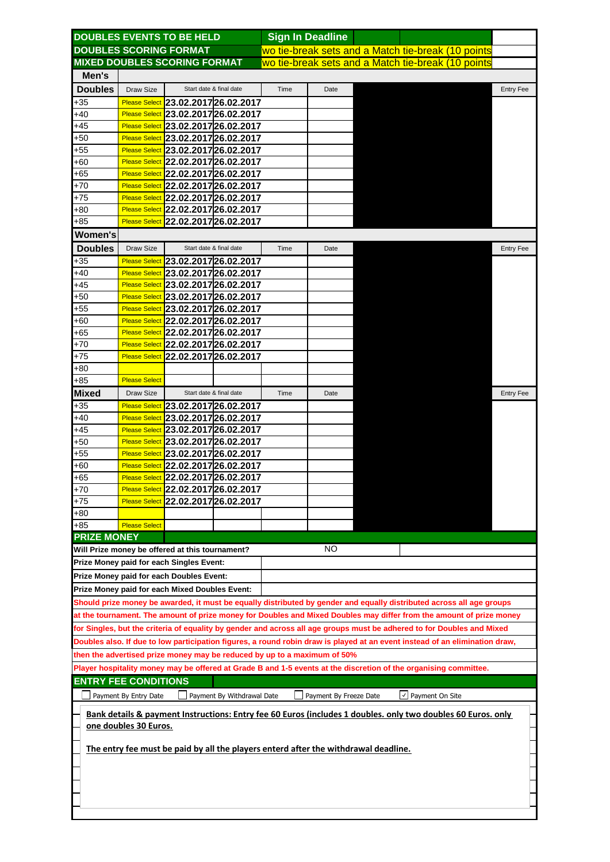|                                                                                                                             |                                                                                     | <b>DOUBLES EVENTS TO BE HELD</b>                |                         |      | <b>Sign In Deadline</b> |  |                                                                                                                       |                  |  |  |
|-----------------------------------------------------------------------------------------------------------------------------|-------------------------------------------------------------------------------------|-------------------------------------------------|-------------------------|------|-------------------------|--|-----------------------------------------------------------------------------------------------------------------------|------------------|--|--|
|                                                                                                                             |                                                                                     | <b>DOUBLES SCORING FORMAT</b>                   |                         |      |                         |  | wo tie-break sets and a Match tie-break (10 points                                                                    |                  |  |  |
|                                                                                                                             |                                                                                     | <b>MIXED DOUBLES SCORING FORMAT</b>             |                         |      |                         |  | wo tie-break sets and a Match tie-break (10 points                                                                    |                  |  |  |
| Men's                                                                                                                       |                                                                                     |                                                 |                         |      |                         |  |                                                                                                                       |                  |  |  |
| <b>Doubles</b>                                                                                                              | Draw Size                                                                           |                                                 | Start date & final date | Time | Date                    |  |                                                                                                                       | <b>Entry Fee</b> |  |  |
| $+35$                                                                                                                       |                                                                                     | Please Select 23.02.2017 26.02.2017             |                         |      |                         |  |                                                                                                                       |                  |  |  |
| $+40$                                                                                                                       |                                                                                     | Please Select 23.02.2017 26.02.2017             |                         |      |                         |  |                                                                                                                       |                  |  |  |
| +45                                                                                                                         |                                                                                     | Please Select 23.02.2017 26.02.2017             |                         |      |                         |  |                                                                                                                       |                  |  |  |
| $+50$                                                                                                                       |                                                                                     | Please Select 23.02.2017 26.02.2017             |                         |      |                         |  |                                                                                                                       |                  |  |  |
|                                                                                                                             |                                                                                     |                                                 |                         |      |                         |  |                                                                                                                       |                  |  |  |
| $+55$<br>$+60$                                                                                                              |                                                                                     | Please Select 23.02.2017 26.02.2017             |                         |      |                         |  |                                                                                                                       |                  |  |  |
| $+65$                                                                                                                       |                                                                                     | Please Select 22.02.2017 26.02.2017             |                         |      |                         |  |                                                                                                                       |                  |  |  |
|                                                                                                                             |                                                                                     | Please Select 22.02.2017 26.02.2017             |                         |      |                         |  |                                                                                                                       |                  |  |  |
| $+70$                                                                                                                       |                                                                                     | Please Select 22.02.2017 26.02.2017             |                         |      |                         |  |                                                                                                                       |                  |  |  |
| $+75$                                                                                                                       |                                                                                     | Please Select 22.02.2017 26.02.2017             |                         |      |                         |  |                                                                                                                       |                  |  |  |
| +80                                                                                                                         |                                                                                     | Please Select 22.02.2017 26.02.2017             |                         |      |                         |  |                                                                                                                       |                  |  |  |
| +85                                                                                                                         |                                                                                     | Please Select 22.02.2017 26.02.2017             |                         |      |                         |  |                                                                                                                       |                  |  |  |
| Women's                                                                                                                     |                                                                                     |                                                 |                         |      |                         |  |                                                                                                                       |                  |  |  |
| <b>Doubles</b>                                                                                                              | Draw Size                                                                           |                                                 | Start date & final date | Time | Date                    |  |                                                                                                                       | <b>Entry Fee</b> |  |  |
| $+35$                                                                                                                       |                                                                                     | Please Select 23.02.2017 26.02.2017             |                         |      |                         |  |                                                                                                                       |                  |  |  |
| $+40$                                                                                                                       |                                                                                     | Please Select 23.02.2017 26.02.2017             |                         |      |                         |  |                                                                                                                       |                  |  |  |
| $+45$                                                                                                                       |                                                                                     | Please Select 23.02.2017 26.02.2017             |                         |      |                         |  |                                                                                                                       |                  |  |  |
| $+50$                                                                                                                       |                                                                                     | Please Select 23.02.2017 26.02.2017             |                         |      |                         |  |                                                                                                                       |                  |  |  |
| $+55$                                                                                                                       |                                                                                     | Please Select 23.02.2017 26.02.2017             |                         |      |                         |  |                                                                                                                       |                  |  |  |
| $+60$                                                                                                                       |                                                                                     | Please Select 22.02.2017 26.02.2017             |                         |      |                         |  |                                                                                                                       |                  |  |  |
| +65                                                                                                                         |                                                                                     | Please Select 22.02.2017 26.02.2017             |                         |      |                         |  |                                                                                                                       |                  |  |  |
| +70                                                                                                                         |                                                                                     | Please Select 22.02.2017 26.02.2017             |                         |      |                         |  |                                                                                                                       |                  |  |  |
| $+75$                                                                                                                       |                                                                                     | Please Select 22.02.2017 26.02.2017             |                         |      |                         |  |                                                                                                                       |                  |  |  |
|                                                                                                                             |                                                                                     |                                                 |                         |      |                         |  |                                                                                                                       |                  |  |  |
| $+80$                                                                                                                       |                                                                                     |                                                 |                         |      |                         |  |                                                                                                                       |                  |  |  |
| $+85$                                                                                                                       | <b>Please Select</b>                                                                |                                                 |                         |      |                         |  |                                                                                                                       |                  |  |  |
| <b>Mixed</b>                                                                                                                | Draw Size                                                                           |                                                 | Start date & final date | Time | Date                    |  |                                                                                                                       | <b>Entry Fee</b> |  |  |
| +35                                                                                                                         |                                                                                     | Please Select 23.02.2017 26.02.2017             |                         |      |                         |  |                                                                                                                       |                  |  |  |
| $+40$                                                                                                                       |                                                                                     | Please Select 23.02.2017 26.02.2017             |                         |      |                         |  |                                                                                                                       |                  |  |  |
| $+45$                                                                                                                       |                                                                                     | Please Select 23.02.2017 26.02.2017             |                         |      |                         |  |                                                                                                                       |                  |  |  |
| $+50$                                                                                                                       |                                                                                     | Please Select 23.02.2017 26.02.2017             |                         |      |                         |  |                                                                                                                       |                  |  |  |
| $+55$                                                                                                                       |                                                                                     | Please Select 23.02.2017 26.02.2017             |                         |      |                         |  |                                                                                                                       |                  |  |  |
| $+60$                                                                                                                       |                                                                                     | Please Select 22.02.2017 26.02.2017             |                         |      |                         |  |                                                                                                                       |                  |  |  |
| $+65$                                                                                                                       |                                                                                     | Please Select 22.02.2017 26.02.2017             |                         |      |                         |  |                                                                                                                       |                  |  |  |
| $+70$                                                                                                                       |                                                                                     | Please Select 22.02.2017 26.02.2017             |                         |      |                         |  |                                                                                                                       |                  |  |  |
| +75                                                                                                                         |                                                                                     | Please Select 22.02.2017 26.02.2017             |                         |      |                         |  |                                                                                                                       |                  |  |  |
| +80                                                                                                                         |                                                                                     |                                                 |                         |      |                         |  |                                                                                                                       |                  |  |  |
| $+85$                                                                                                                       | <b>Please Select</b>                                                                |                                                 |                         |      |                         |  |                                                                                                                       |                  |  |  |
| <b>PRIZE MONEY</b>                                                                                                          |                                                                                     |                                                 |                         |      |                         |  |                                                                                                                       |                  |  |  |
|                                                                                                                             |                                                                                     | Will Prize money be offered at this tournament? |                         |      | NO.                     |  |                                                                                                                       |                  |  |  |
|                                                                                                                             |                                                                                     | <b>Prize Money paid for each Singles Event:</b> |                         |      |                         |  |                                                                                                                       |                  |  |  |
|                                                                                                                             |                                                                                     |                                                 |                         |      |                         |  |                                                                                                                       |                  |  |  |
|                                                                                                                             |                                                                                     | <b>Prize Money paid for each Doubles Event:</b> |                         |      |                         |  |                                                                                                                       |                  |  |  |
|                                                                                                                             |                                                                                     | Prize Money paid for each Mixed Doubles Event:  |                         |      |                         |  |                                                                                                                       |                  |  |  |
|                                                                                                                             |                                                                                     |                                                 |                         |      |                         |  | Should prize money be awarded, it must be equally distributed by gender and equally distributed across all age groups |                  |  |  |
|                                                                                                                             |                                                                                     |                                                 |                         |      |                         |  | at the tournament. The amount of prize money for Doubles and Mixed Doubles may differ from the amount of prize money  |                  |  |  |
|                                                                                                                             |                                                                                     |                                                 |                         |      |                         |  |                                                                                                                       |                  |  |  |
| for Singles, but the criteria of equality by gender and across all age groups must be adhered to for Doubles and Mixed      |                                                                                     |                                                 |                         |      |                         |  |                                                                                                                       |                  |  |  |
| Doubles also. If due to low participation figures, a round robin draw is played at an event instead of an elimination draw, |                                                                                     |                                                 |                         |      |                         |  |                                                                                                                       |                  |  |  |
| then the advertised prize money may be reduced by up to a maximum of 50%                                                    |                                                                                     |                                                 |                         |      |                         |  |                                                                                                                       |                  |  |  |
| Player hospitality money may be offered at Grade B and 1-5 events at the discretion of the organising committee.            |                                                                                     |                                                 |                         |      |                         |  |                                                                                                                       |                  |  |  |
| <b>ENTRY FEE CONDITIONS</b>                                                                                                 |                                                                                     |                                                 |                         |      |                         |  |                                                                                                                       |                  |  |  |
| $\sqrt{}$ Payment On Site<br>Payment By Entry Date<br>Payment By Freeze Date<br>Payment By Withdrawal Date                  |                                                                                     |                                                 |                         |      |                         |  |                                                                                                                       |                  |  |  |
|                                                                                                                             |                                                                                     |                                                 |                         |      |                         |  |                                                                                                                       |                  |  |  |
| Bank details & payment Instructions: Entry fee 60 Euros (includes 1 doubles. only two doubles 60 Euros. only                |                                                                                     |                                                 |                         |      |                         |  |                                                                                                                       |                  |  |  |
| one doubles 30 Euros.                                                                                                       |                                                                                     |                                                 |                         |      |                         |  |                                                                                                                       |                  |  |  |
|                                                                                                                             | The entry fee must be paid by all the players enterd after the withdrawal deadline. |                                                 |                         |      |                         |  |                                                                                                                       |                  |  |  |
|                                                                                                                             |                                                                                     |                                                 |                         |      |                         |  |                                                                                                                       |                  |  |  |
|                                                                                                                             |                                                                                     |                                                 |                         |      |                         |  |                                                                                                                       |                  |  |  |
|                                                                                                                             |                                                                                     |                                                 |                         |      |                         |  |                                                                                                                       |                  |  |  |
|                                                                                                                             |                                                                                     |                                                 |                         |      |                         |  |                                                                                                                       |                  |  |  |
|                                                                                                                             |                                                                                     |                                                 |                         |      |                         |  |                                                                                                                       |                  |  |  |
|                                                                                                                             |                                                                                     |                                                 |                         |      |                         |  |                                                                                                                       |                  |  |  |